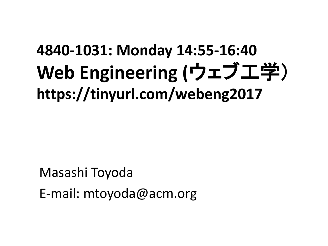### **4840-1031: Monday 14:55-16:40 Web Engineering (**ウェブ工学) **https://tinyurl.com/webeng2017**

Masashi Toyoda E-mail: mtoyoda@acm.org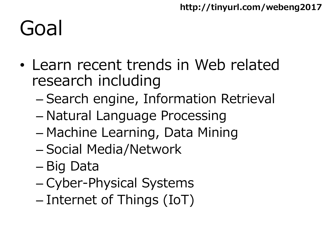# Goal

- Learn recent trends in Web related research including
	- Search engine, Information Retrieval
	- Natural Language Processing
	- Machine Learning, Data Mining
	- Social Media/Network
	- Big Data
	- Cyber-Physical Systems
	- Internet of Things (IoT)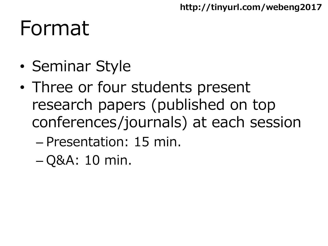## Format

- Seminar Style
- Three or four students present research papers (published on top conferences/journals) at each session
	- Presentation: 15 min.
	- Q&A: 10 min.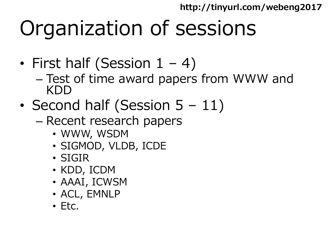# Organization of sessions

- First half (Session  $1 4$ )
	- Test of time award papers from WWW and KDD
- Second half (Session 5 11)
	- Recent research papers
		- WWW, WSDM
		- SIGMOD, VLDB, ICDE
		- SIGIR
		- KDD, ICDM
		- AAAI, ICWSM
		- ACL, EMNLP
		- Etc.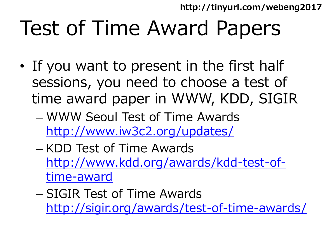# Test of Time Award Papers

- If you want to present in the first half sessions, you need to choose a test of time award paper in WWW, KDD, SIGIR
	- WWW Seoul Test of Time Awards <http://www.iw3c2.org/updates/>
	- KDD Test of Time Awards [http://www.kdd.org/awards/kdd-test-of](http://www.kdd.org/awards/kdd-test-of-time-award)time-award
	- SIGIR Test of Time Awards <http://sigir.org/awards/test-of-time-awards/>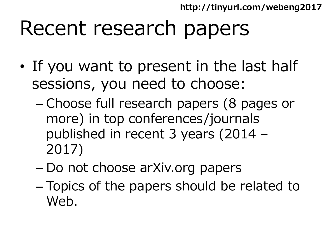## Recent research papers

- If you want to present in the last half sessions, you need to choose:
	- Choose full research papers (8 pages or more) in top conferences/journals published in recent 3 years (2014 – 2017)
	- Do not choose arXiv.org papers
	- Topics of the papers should be related to Web.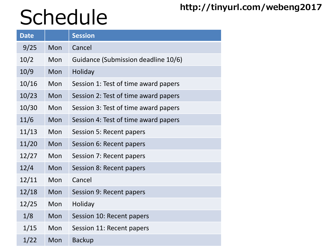# **http://tinyurl.com/webeng2017** Schedule

| <b>Date</b> |            | <b>Session</b>                       |
|-------------|------------|--------------------------------------|
| 9/25        | Mon        | Cancel                               |
| 10/2        | Mon        | Guidance (Submission deadline 10/6)  |
| 10/9        | Mon        | <b>Holiday</b>                       |
| 10/16       | Mon        | Session 1: Test of time award papers |
| 10/23       | Mon        | Session 2: Test of time award papers |
| 10/30       | Mon        | Session 3: Test of time award papers |
| 11/6        | Mon        | Session 4: Test of time award papers |
| 11/13       | <b>Mon</b> | Session 5: Recent papers             |
| 11/20       | <b>Mon</b> | Session 6: Recent papers             |
| 12/27       | Mon        | Session 7: Recent papers             |
| 12/4        | Mon        | Session 8: Recent papers             |
| 12/11       | Mon        | Cancel                               |
| 12/18       | Mon        | Session 9: Recent papers             |
| 12/25       | Mon        | Holiday                              |
| 1/8         | Mon        | Session 10: Recent papers            |
| 1/15        | Mon        | Session 11: Recent papers            |
| 1/22        | Mon        | <b>Backup</b>                        |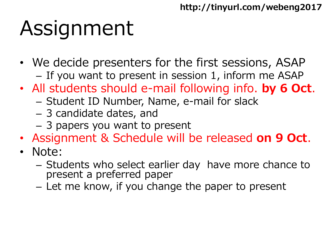# Assignment

- We decide presenters for the first sessions, ASAP
	- If you want to present in session 1, inform me ASAP
- All students should e-mail following info. **by 6 Oct**.
	- Student ID Number, Name, e-mail for slack
	- 3 candidate dates, and
	- 3 papers you want to present
- Assignment & Schedule will be released **on 9 Oct**.
- Note:
	- Students who select earlier day have more chance to present a preferred paper
	- Let me know, if you change the paper to present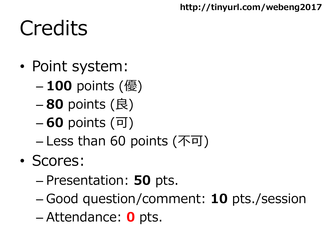# **Credits**

- Point system:
	- **100** points (優)
	- **80** points (良)
	- **60** points (可)
	- Less than 60 points (不可)
- Scores:
	- Presentation: **50** pts.
	- Good question/comment: **10** pts./session
	- Attendance: **0** pts.